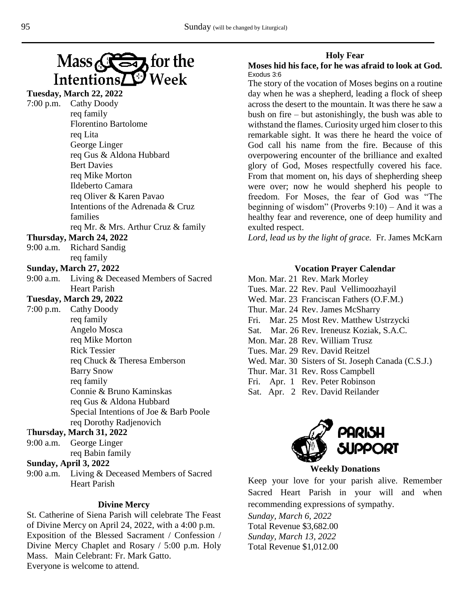

## **Tuesday, March 22, 2022** 7:00 p.m. Cathy Doody req family Florentino Bartolome req Lita George Linger req Gus & Aldona Hubbard Bert Davies req Mike Morton Ildeberto Camara req Oliver & Karen Pavao Intentions of the Adrenada & Cruz families req Mr. & Mrs. Arthur Cruz & family **Thursday, March 24, 2022** 9:00 a.m. Richard Sandig req family **Sunday, March 27, 2022** 9:00 a.m. Living & Deceased Members of Sacred Heart Parish **Tuesday, March 29, 2022** 7:00 p.m. Cathy Doody req family Angelo Mosca req Mike Morton Rick Tessier req Chuck & Theresa Emberson Barry Snow req family Connie & Bruno Kaminskas req Gus & Aldona Hubbard Special Intentions of Joe & Barb Poole req Dorothy Radjenovich T**hursday, March 31, 2022**

9:00 a.m. George Linger req Babin family

#### **Sunday, April 3, 2022**

9:00 a.m. Living & Deceased Members of Sacred Heart Parish

#### **Divine Mercy**

St. Catherine of Siena Parish will celebrate The Feast of Divine Mercy on April 24, 2022, with a 4:00 p.m. Exposition of the Blessed Sacrament / Confession / Divine Mercy Chaplet and Rosary / 5:00 p.m. Holy Mass. Main Celebrant: Fr. Mark Gatto. Everyone is welcome to attend.

### **Holy Fear**

### **Moses hid his face, for he was afraid to look at God.**  Exodus 3:6

The story of the vocation of Moses begins on a routine day when he was a shepherd, leading a flock of sheep across the desert to the mountain. It was there he saw a bush on fire – but astonishingly, the bush was able to withstand the flames. Curiosity urged him closer to this remarkable sight. It was there he heard the voice of God call his name from the fire. Because of this overpowering encounter of the brilliance and exalted glory of God, Moses respectfully covered his face. From that moment on, his days of shepherding sheep were over; now he would shepherd his people to freedom. For Moses, the fear of God was "The beginning of wisdom" (Proverbs 9:10) – And it was a healthy fear and reverence, one of deep humility and exulted respect.

*Lord, lead us by the light of grace.*Fr. James McKarn

#### **Vocation Prayer Calendar**

Mon. Mar. 21 Rev. Mark Morley Tues. Mar. 22 Rev. Paul Vellimoozhayil Wed. Mar. 23 Franciscan Fathers (O.F.M.) Thur. Mar. 24 Rev. James McSharry Fri. Mar. 25 Most Rev. Matthew Ustrzycki Sat. Mar. 26 Rev. Ireneusz Koziak, S.A.C. Mon. Mar. 28 Rev. William Trusz Tues. Mar. 29 Rev. David Reitzel Wed. Mar. 30 Sisters of St. Joseph Canada (C.S.J.) Thur. Mar. 31 Rev. Ross Campbell Fri. Apr. 1 Rev. Peter Robinson Sat. Apr. 2 Rev. David Reilander



### **Weekly Donations**

Keep your love for your parish alive. Remember Sacred Heart Parish in your will and when recommending expressions of sympathy.

*Sunday, March 6, 2022* Total Revenue \$3,682.00 *Sunday, March 13, 2022* Total Revenue \$1,012.00